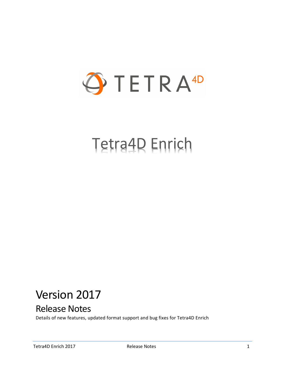

# Tetra4D Enrich

## Version 2017

## Release Notes

Details of new features, updated format support and bug fixes for Tetra4D Enrich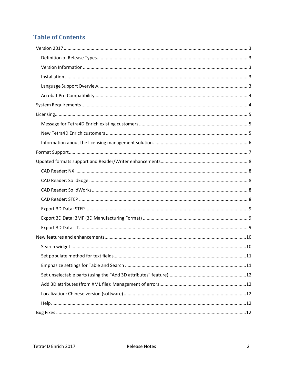## **Table of Contents**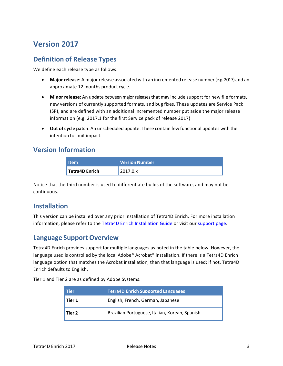## <span id="page-2-0"></span>**Version 2017**

#### <span id="page-2-1"></span>**Definition of Release Types**

We define each release type as follows:

- **Major release**: A major release associated with an incremented release number (e.g. 2017) and an approximate 12 months product cycle.
- **Minor release**: An update betweenmajorreleasesthat may include support for new file formats, new versions of currently supported formats, and bug fixes. These updates are Service Pack (SP), and are defined with an additional incremented number put aside the major release information (e.g. 2017.1 for the first Service pack of release 2017)
- **Out of cycle patch**: An unscheduled update. These contain few functional updates with the intention to limit impact.

#### <span id="page-2-2"></span>**Version Information**

| <b>Item</b>                 | <b>Version Number</b> |  |
|-----------------------------|-----------------------|--|
| <sup>1</sup> Tetra4D Enrich | 12017.0.x             |  |

Notice that the third number is used to differentiate builds of the software, and may not be continuous.

#### <span id="page-2-3"></span>**Installation**

This version can be installed over any prior installation of Tetra4D Enrich. For more installation information, please refer to the Tetra4D Enrich [Installation Guide](http://www.tetra4d.com/documentation/) or visit our [support page.](http://www.tetra4d.com/support/)

#### <span id="page-2-4"></span>**Language Support Overview**

Tetra4D Enrich provides support for multiple languages as noted in the table below. However, the language used is controlled by the local Adobe® Acrobat® installation. If there is a Tetra4D Enrich language option that matches the Acrobat installation, then that language is used; if not, Tetra4D Enrich defaults to English.

Tier 1 and Tier 2 are as defined by Adobe Systems.

| l Tier | <b>Tetra4D Enrich Supported Languages</b>      |
|--------|------------------------------------------------|
| Tier 1 | English, French, German, Japanese              |
| Tier 2 | Brazilian Portuguese, Italian, Korean, Spanish |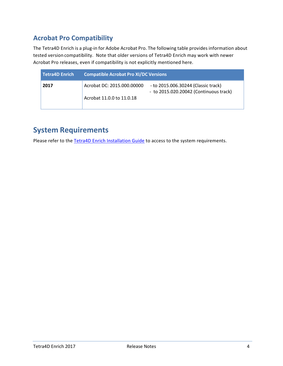## <span id="page-3-0"></span>**Acrobat Pro Compatibility**

The Tetra4D Enrich is a plug-in for Adobe Acrobat Pro. The following table provides information about tested version compatibility. Note that older versions of Tetra4D Enrich may work with newer Acrobat Pro releases, even if compatibility is not explicitly mentioned here.

| <b>Tetra4D Enrich</b> | <b>Compatible Acrobat Pro XI/DC Versions</b> |                                                                               |  |  |
|-----------------------|----------------------------------------------|-------------------------------------------------------------------------------|--|--|
| 2017                  | Acrobat DC: 2015.000.00000                   | - to 2015.006.30244 (Classic track)<br>- to 2015.020.20042 (Continuous track) |  |  |
|                       | Acrobat 11.0.0 to 11.0.18                    |                                                                               |  |  |

## <span id="page-3-1"></span>**System Requirements**

Please refer to the [Tetra4D Enrich Installation Guide](http://www.tetra4d.com/documentation/) to access to the system requirements.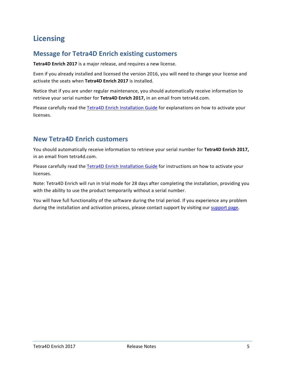## <span id="page-4-0"></span>**Licensing**

#### <span id="page-4-1"></span>**Message for Tetra4D Enrich existing customers**

**Tetra4D Enrich 2017** is a major release, and requires a new license.

Even if you already installed and licensed the version 2016, you will need to change your license and activate the seats when **Tetra4D Enrich 2017** is installed.

Notice that if you are under regular maintenance, you should automatically receive information to retrieve your serial number for **Tetra4D Enrich 2017,** in an email from tetra4d.com.

Please carefully read the [Tetra4D Enrich Installation Guide](http://www.tetra4d.com/documentation/) for explanations on how to activate your licenses.

#### <span id="page-4-2"></span>**New Tetra4D Enrich customers**

You should automatically receive information to retrieve your serial number for **Tetra4D Enrich 2017,**  in an email from tetra4d.com.

Please carefully read the [Tetra4D Enrich Installation Guide](http://www.tetra4d.com/documentation/) for instructions on how to activate your licenses.

Note: Tetra4D Enrich will run in trial mode for 28 days after completing the installation, providing you with the ability to use the product temporarily without a serial number.

You will have full functionality of the software during the trial period. If you experience any problem during the installation and activation process, please contact support by visiting our [support page.](http://www.tetra4d.com/support/)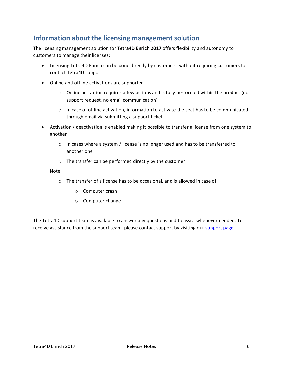#### <span id="page-5-0"></span>**Information about the licensing management solution**

The licensing management solution for **Tetra4D Enrich 2017** offers flexibility and autonomy to customers to manage their licenses:

- Licensing Tetra4D Enrich can be done directly by customers, without requiring customers to contact Tetra4D support
- Online and offline activations are supported
	- $\circ$  Online activation requires a few actions and is fully performed within the product (no support request, no email communication)
	- $\circ$  In case of offline activation, information to activate the seat has to be communicated through email via submitting a support ticket.
- Activation / deactivation is enabled making it possible to transfer a license from one system to another
	- $\circ$  In cases where a system / license is no longer used and has to be transferred to another one
	- o The transfer can be performed directly by the customer

#### Note:

- o The transfer of a license has to be occasional, and is allowed in case of:
	- o Computer crash
	- o Computer change

The Tetra4D support team is available to answer any questions and to assist whenever needed. To receive assistance from the support team, please contact support by visiting our [support page.](http://www.tetra4d.com/support/)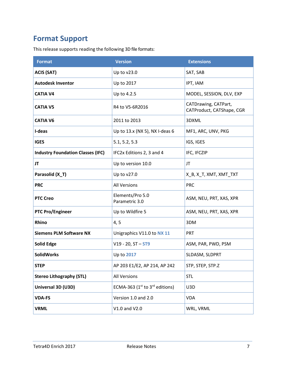## <span id="page-6-0"></span>**Format Support**

This release supports reading the following 3D file formats:

| <b>Format</b>                            | <b>Version</b>                      | <b>Extensions</b>                                 |  |
|------------------------------------------|-------------------------------------|---------------------------------------------------|--|
| <b>ACIS (SAT)</b>                        | Up to v23.0                         | SAT, SAB                                          |  |
| <b>Autodesk Inventor</b>                 | Up to 2017                          | IPT, IAM                                          |  |
| <b>CATIA V4</b>                          | Up to 4.2.5                         | MODEL, SESSION, DLV, EXP                          |  |
| <b>CATIA V5</b>                          | R4 to V5-6R2016                     | CATDrawing, CATPart,<br>CATProduct, CATShape, CGR |  |
| <b>CATIA V6</b>                          | 2011 to 2013                        | 3DXML                                             |  |
| I-deas                                   | Up to 13.x (NX 5), NX I-deas 6      | MF1, ARC, UNV, PKG                                |  |
| <b>IGES</b>                              | 5.1, 5.2, 5.3                       | IGS, IGES                                         |  |
| <b>Industry Foundation Classes (IFC)</b> | IFC2x Editions 2, 3 and 4           | IFC, IFCZIP                                       |  |
| JT                                       | Up to version 10.0                  | <b>JT</b>                                         |  |
| Parasolid (X_T)                          | Up to v27.0                         | X_B, X_T, XMT, XMT_TXT                            |  |
| <b>PRC</b>                               | <b>All Versions</b>                 | <b>PRC</b>                                        |  |
| <b>PTC Creo</b>                          | Elements/Pro 5.0<br>Parametric 3.0  | ASM, NEU, PRT, XAS, XPR                           |  |
| <b>PTC Pro/Engineer</b>                  | Up to Wildfire 5                    | ASM, NEU, PRT, XAS, XPR                           |  |
| Rhino                                    | 4, 5                                | 3DM                                               |  |
| <b>Siemens PLM Software NX</b>           | Unigraphics V11.0 to NX 11          | PRT                                               |  |
| <b>Solid Edge</b>                        | $V19 - 20$ , ST $-$ ST9             | ASM, PAR, PWD, PSM                                |  |
| <b>SolidWorks</b>                        | Up to 2017                          | SLDASM, SLDPRT                                    |  |
| <b>STEP</b>                              | AP 203 E1/E2, AP 214, AP 242        | STP, STEP, STP.Z                                  |  |
| <b>Stereo Lithography (STL)</b>          | <b>All Versions</b>                 | <b>STL</b>                                        |  |
| Universal 3D (U3D)                       | ECMA-363 ( $1st$ to $3rd$ editions) | U3D                                               |  |
| <b>VDA-FS</b>                            | Version 1.0 and 2.0                 | <b>VDA</b>                                        |  |
| <b>VRML</b>                              | V1.0 and V2.0                       | WRL, VRML                                         |  |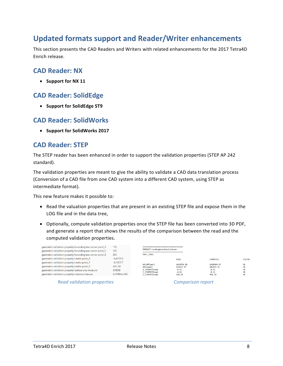## <span id="page-7-0"></span>**Updated formats support and Reader/Writer enhancements**

This section presents the CAD Readers and Writers with related enhancements for the 2017 Tetra4D Enrich release.

#### <span id="page-7-1"></span>**CAD Reader: NX**

• **Support for NX 11**

#### <span id="page-7-2"></span>**CAD Reader: SolidEdge**

• **Support for SolidEdge ST9**

#### <span id="page-7-3"></span>**CAD Reader: SolidWorks**

• **Support for SolidWorks 2017**

#### <span id="page-7-4"></span>**CAD Reader: STEP**

The STEP reader has been enhanced in order to support the validation properties (STEP AP 242 standard).

The validation properties are meant to give the ability to validate a CAD data translation process (Conversion of a CAD file from one CAD system into a different CAD system, using STEP as intermediate format).

This new feature makes it possible to:

- Read the valuation properties that are present in an existing STEP file and expose them in the LOG file and in the data tree,
- Optionally, compute validation properties once the STEP file has been converted into 3D PDF, and generate a report that shows the results of the comparison between the read and the computed validation properties.

| geometric validation property/bounding box corner point_X<br>geometric validation property/bounding box corner point_Y<br>geometric validation property/bounding box corner point Z                | 110<br>320<br>805          | ------------------------------<br>PRODUCT: LandingGearMainCylinder<br>-------------------------------<br><b>PART LEVEL</b> |                                    |                                    |                |
|----------------------------------------------------------------------------------------------------------------------------------------------------------------------------------------------------|----------------------------|----------------------------------------------------------------------------------------------------------------------------|------------------------------------|------------------------------------|----------------|
| geometric validation property/centre point_X                                                                                                                                                       | $-0.413513$<br>$-0.105117$ |                                                                                                                            | <b>READ</b>                        | <b>COMPUTED</b>                    | <b>STATUS</b>  |
| geometric validation property/centre point Y<br>geometric validation property/centre point Z<br>geometric validation property/surface area measure<br>geometric validation property/volume measure | 450,102<br>816038          | VOLUME (mm3)<br>AREA(mm2)<br>X CENTROID(mm)                                                                                | 6410936.86<br>816037.87<br>$-0.41$ | 6410909.93<br>816039.55<br>$-0.41$ | OK<br>OK<br>OK |
|                                                                                                                                                                                                    | $6.41094e+006$             | Y CENTROID(mm)<br>Z CENTROID(mm)                                                                                           | $-0.11$<br>450.10                  | $-0.11$<br>450.10                  | OK<br>OK       |

*Read validation properties Comparison report*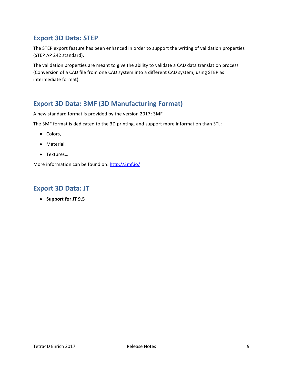#### <span id="page-8-0"></span>**Export 3D Data: STEP**

The STEP export feature has been enhanced in order to support the writing of validation properties (STEP AP 242 standard).

The validation properties are meant to give the ability to validate a CAD data translation process (Conversion of a CAD file from one CAD system into a different CAD system, using STEP as intermediate format).

#### <span id="page-8-1"></span>**Export 3D Data: 3MF (3D Manufacturing Format)**

A new standard format is provided by the version 2017: 3MF

The 3MF format is dedicated to the 3D printing, and support more information than STL:

- Colors,
- Material,
- Textures…

More information can be found on: <http://3mf.io/>

#### <span id="page-8-2"></span>**Export 3D Data: JT**

• **Support for JT 9.5**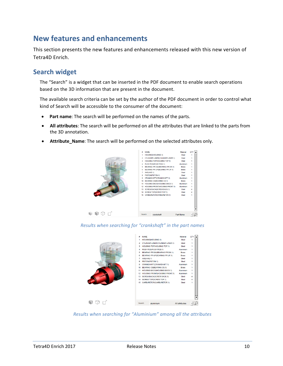## <span id="page-9-0"></span>**New features and enhancements**

This section presents the new features and enhancements released with this new version of Tetra4D Enrich.

#### <span id="page-9-1"></span>**Search widget**

The "Search" is a widget that can be inserted in the PDF document to enable search operations based on the 3D information that are present in the document.

The available search criteria can be set by the author of the PDF document in order to control what kind of Search will be accessible to the consumer of the document:

- **Part name**: The search will be performed on the names of the parts.
- **All attributes**: The search will be performed on all the attributes that are linked to the parts from the 3D annotation.
- **Attribute\_Name**: The search will be performed on the selected attributes only.



#### *Results when searching for "crankshaft" in the part names*



*Results when searching for "Aluminium" among all the attributes*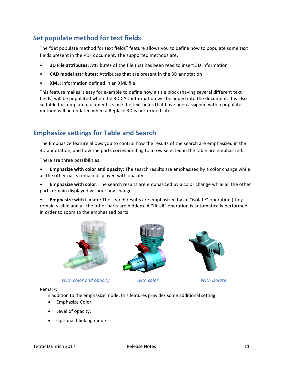#### <span id="page-10-0"></span>**Set populate method for text fields**

The "Set populate method for text fields" feature allows you to define how to populate some text fields present in the PDF document. The supported methods are:

- **3D File attributes:** Attributes of the file that has been read to insert 3D information
- **CAD model attributes**: Attributes that are present in the 3D annotation
- **XML:** Information defined in an XML file

This feature makes it easy for example to define how a title block (having several different text fields) will be populated when the 3D CAD information will be added into the document. It is also suitable for template documents, since the text fields that have been assigned with a populate method will be updated when a Replace 3D is performed later.

#### <span id="page-10-1"></span>**Emphasize settings for Table and Search**

The Emphasize feature allows you to control how the results of the search are emphasized in the 3D annotation, and how the parts corresponding to a row selected in the table are emphasized.

There are three possibilities:

• **Emphasize with color and opacity:** The search results are emphasized by a color change while all the other parts remain displayed with opacity.

• **Emphasize with color:** The search results are emphasized by a color change while all the other parts remain displayed without any change.

• **Emphasize with isolate:** The search results are emphasized by an "isolate" operation (they remain visible and all the other parts are hidden). A "fit-all" operation is automatically performed in order to zoom to the emphasized parts



*With color and opacity with color With isolate*





Remark:

In addition to the emphasize mode, this features provides some additional setting:

- Emphasize Color,
- Level of opacity,
- Optional blinking mode.